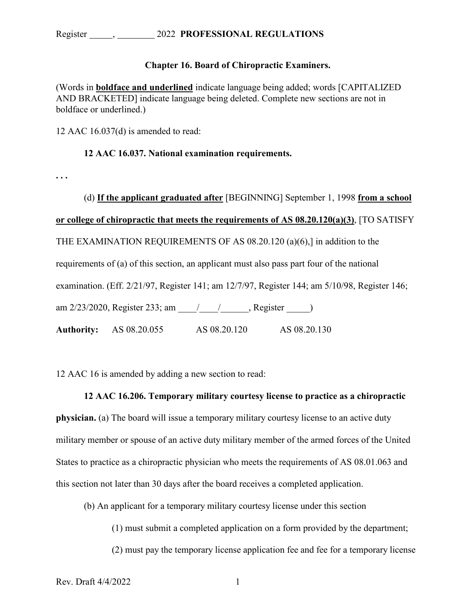## **Chapter 16. Board of Chiropractic Examiners.**

(Words in **boldface and underlined** indicate language being added; words [CAPITALIZED AND BRACKETED] indicate language being deleted. Complete new sections are not in boldface or underlined.)

12 AAC 16.037(d) is amended to read:

## **12 AAC 16.037. National examination requirements.**

**. . .** 

(d) **If the applicant graduated after** [BEGINNING] September 1, 1998 **from a school or college of chiropractic that meets the requirements of AS 08.20.120(a)(3)**, [TO SATISFY THE EXAMINATION REQUIREMENTS OF AS 08.20.120 (a)(6),] in addition to the requirements of (a) of this section, an applicant must also pass part four of the national examination. (Eff. 2/21/97, Register 141; am 12/7/97, Register 144; am 5/10/98, Register 146; am 2/23/2020, Register 233; am  $\qquad$  /  $\qquad$ , Register  $\qquad$ ) **Authority:** AS 08.20.055 AS 08.20.120 AS 08.20.130

12 AAC 16 is amended by adding a new section to read:

## **12 AAC 16.206. Temporary military courtesy license to practice as a chiropractic**

**physician.** (a) The board will issue a temporary military courtesy license to an active duty military member or spouse of an active duty military member of the armed forces of the United States to practice as a chiropractic physician who meets the requirements of AS 08.01.063 and this section not later than 30 days after the board receives a completed application.

(b) An applicant for a temporary military courtesy license under this section

(1) must submit a completed application on a form provided by the department;

(2) must pay the temporary license application fee and fee for a temporary license